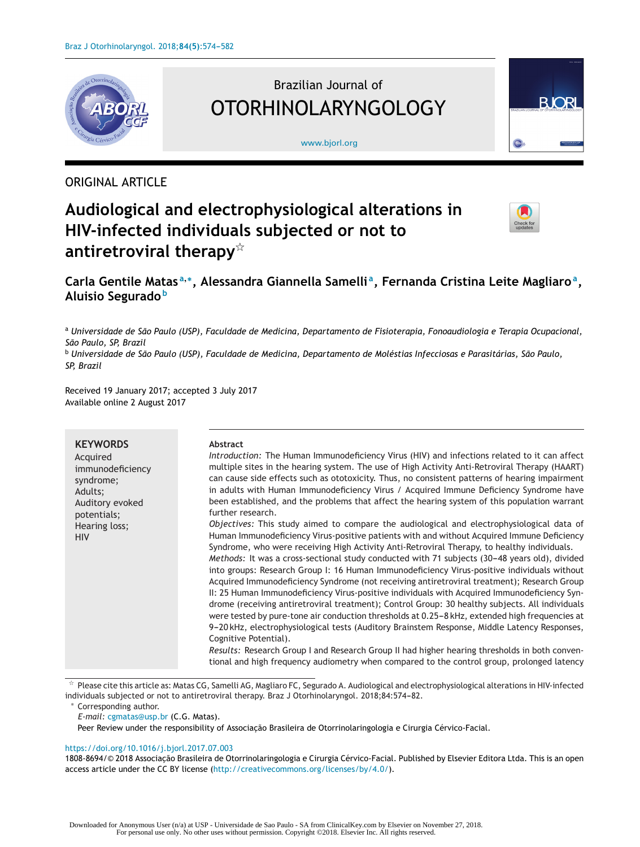

# Brazilian Journal of OTORHINOLARYNGOLOGY

[www.bjorl.org](http://www.bjorl.org)



# ORIGINAL ARTICLE

# **Audiological and electrophysiological alterations in HIV-infected individuals subjected or not to antiretroviral therapy**-



# **Carla Gentile Matas <sup>a</sup>,∗, Alessandra Giannella Samelli a, Fernanda Cristina Leite Magliaroa, Aluisio Segurado <sup>b</sup>**

<sup>a</sup> Universidade de São Paulo (USP), Faculdade de Medicina, Departamento de Fisioterapia, Fonoaudiologia e Terapia Ocupacional, *São Paulo, SP, Brazil*

<sup>b</sup> Universidade de São Paulo (USP), Faculdade de Medicina, Departamento de Moléstias Infecciosas e Parasitárias, São Paulo, *SP, Brazil*

Received 19 January 2017; accepted 3 July 2017 Available online 2 August 2017

| <b>KEYWORDS</b><br>Acquired<br>immunodeficiency<br>syndrome;<br>Adults;<br>Auditory evoked<br>potentials;<br>Hearing loss;<br><b>HIV</b> | Abstract<br>Introduction: The Human Immunodeficiency Virus (HIV) and infections related to it can affect<br>multiple sites in the hearing system. The use of High Activity Anti-Retroviral Therapy (HAART)<br>can cause side effects such as ototoxicity. Thus, no consistent patterns of hearing impairment<br>in adults with Human Immunodeficiency Virus / Acquired Immune Deficiency Syndrome have<br>been established, and the problems that affect the hearing system of this population warrant<br>further research.<br>Objectives: This study aimed to compare the audiological and electrophysiological data of<br>Human Immunodeficiency Virus-positive patients with and without Acquired Immune Deficiency<br>Syndrome, who were receiving High Activity Anti-Retroviral Therapy, to healthy individuals.<br>Methods: It was a cross-sectional study conducted with 71 subjects (30-48 years old), divided<br>into groups: Research Group I: 16 Human Immunodeficiency Virus-positive individuals without<br>Acquired Immunodeficiency Syndrome (not receiving antiretroviral treatment); Research Group<br>II: 25 Human Immunodeficiency Virus-positive individuals with Acquired Immunodeficiency Syn-<br>drome (receiving antiretroviral treatment); Control Group: 30 healthy subjects. All individuals<br>were tested by pure-tone air conduction thresholds at 0.25-8 kHz, extended high frequencies at<br>9-20 kHz, electrophysiological tests (Auditory Brainstem Response, Middle Latency Responses, |
|------------------------------------------------------------------------------------------------------------------------------------------|---------------------------------------------------------------------------------------------------------------------------------------------------------------------------------------------------------------------------------------------------------------------------------------------------------------------------------------------------------------------------------------------------------------------------------------------------------------------------------------------------------------------------------------------------------------------------------------------------------------------------------------------------------------------------------------------------------------------------------------------------------------------------------------------------------------------------------------------------------------------------------------------------------------------------------------------------------------------------------------------------------------------------------------------------------------------------------------------------------------------------------------------------------------------------------------------------------------------------------------------------------------------------------------------------------------------------------------------------------------------------------------------------------------------------------------------------------------------------------------------------------------------------|
|                                                                                                                                          | Cognitive Potential).<br>Results: Research Group I and Research Group II had higher hearing thresholds in both conven-<br>tional and high frequency audiometry when compared to the control group, prolonged latency                                                                                                                                                                                                                                                                                                                                                                                                                                                                                                                                                                                                                                                                                                                                                                                                                                                                                                                                                                                                                                                                                                                                                                                                                                                                                                      |

 $*$  Please cite this article as: Matas CG, Samelli AG, Magliaro FC, Segurado A. Audiological and electrophysiological alterations in HIV-infected individuals subjected or not to antiretroviral therapy. Braz J Otorhinolaryngol. 2018;84:574-82.

∗ Corresponding author.

*E-mail:* [cgmatas@usp.br](mailto:cgmatas@usp.br) (C.G. Matas).

Peer Review under the responsibility of Associação Brasileira de Otorrinolaringologia e Cirurgia Cérvico-Facial.

## <https://doi.org/10.1016/j.bjorl.2017.07.003>

1808-8694/© 2018 Associação Brasileira de Otorrinolaringologia e Cirurgia Cérvico-Facial. Published by Elsevier Editora Ltda. This is an open access article under the CC BY license (<http://creativecommons.org/licenses/by/4.0/>).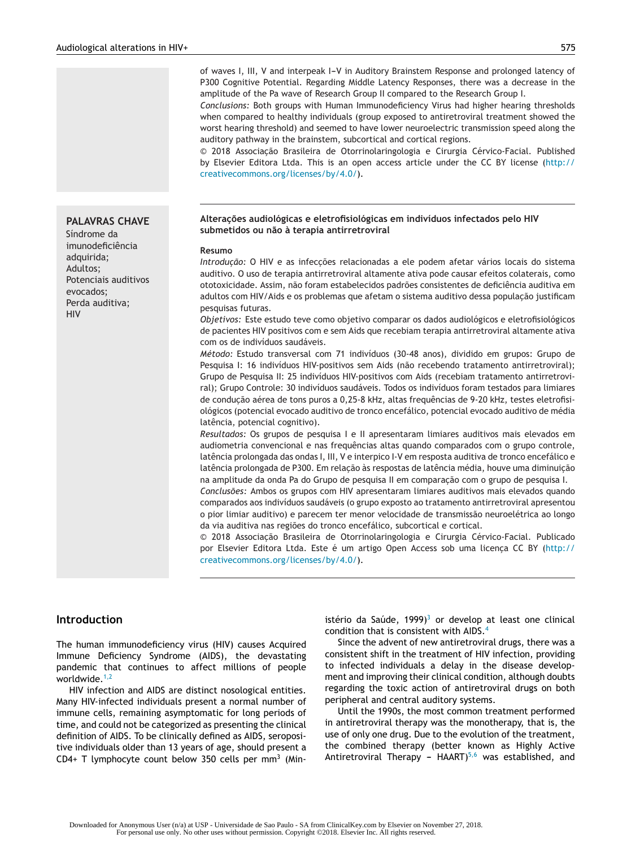of waves I, III, V and interpeak I-V in Auditory Brainstem Response and prolonged latency of P300 Cognitive Potential. Regarding Middle Latency Responses, there was a decrease in the amplitude of the Pa wave of Research Group II compared to the Research Group I.

*Conclusions:* Both groups with Human Immunodeficiency Virus had higher hearing thresholds when compared to healthy individuals (group exposed to antiretroviral treatment showed the worst hearing threshold) and seemed to have lower neuroelectric transmission speed along the auditory pathway in the brainstem, subcortical and cortical regions.

© 2018 Associação Brasileira de Otorrinolaringologia e Cirurgia Cérvico-Facial. Published by Elsevier Editora Ltda. This is an open access article under the CC BY license ([http://](http://creativecommons.org/licenses/by/4.0/) [creativecommons.org/licenses/by/4.0/](http://creativecommons.org/licenses/by/4.0/)).

#### **Alterac¸ões audiológicas e eletrofisiológicas em indivíduos infectados pelo HIV submetidos ou não à terapia antirretroviral**

#### **Resumo**

*Introdução:* O HIV e as infecções relacionadas a ele podem afetar vários locais do sistema auditivo. O uso de terapia antirretroviral altamente ativa pode causar efeitos colaterais, como ototoxicidade. Assim, não foram estabelecidos padrões consistentes de deficiência auditiva em adultos com HIV/Aids e os problemas que afetam o sistema auditivo dessa população justificam pesquisas futuras.

*Objetivos:* Este estudo teve como objetivo comparar os dados audiológicos e eletrofisiológicos de pacientes HIV positivos com e sem Aids que recebiam terapia antirretroviral altamente ativa com os de indivíduos saudáveis.

*Método:* Estudo transversal com 71 indivíduos (30-48 anos), dividido em grupos: Grupo de Pesquisa I: 16 indivíduos HIV-positivos sem Aids (não recebendo tratamento antirretroviral); Grupo de Pesquisa II: 25 indivíduos HIV-positivos com Aids (recebiam tratamento antirretroviral); Grupo Controle: 30 indivíduos saudáveis. Todos os indivíduos foram testados para limiares de condução aérea de tons puros a 0,25-8 kHz, altas frequências de 9-20 kHz, testes eletrofisiológicos (potencial evocado auditivo de tronco encefálico, potencial evocado auditivo de média latência, potencial cognitivo).

*Resultados:* Os grupos de pesquisa I e II apresentaram limiares auditivos mais elevados em audiometria convencional e nas frequências altas quando comparados com o grupo controle, latência prolongada das ondas I, III, V e interpico I-V em resposta auditiva de tronco encefálico e latência prolongada de P300. Em relação às respostas de latência média, houve uma diminuição na amplitude da onda Pa do Grupo de pesquisa II em comparação com o grupo de pesquisa I.

*Conclusões:* Ambos os grupos com HIV apresentaram limiares auditivos mais elevados quando comparados aos indivíduos saudáveis (o grupo exposto ao tratamento antirretroviral apresentou o pior limiar auditivo) e parecem ter menor velocidade de transmissão neuroelétrica ao longo da via auditiva nas regiões do tronco encefálico, subcortical e cortical.

 $© 2018 Associação Brasileira de Otorrinolaringologia e Cirurgia Cérvico-Facial. Publicado$ por Elsevier Editora Ltda. Este é um artigo Open Access sob uma licença CC BY ([http://](http://creativecommons.org/licenses/by/4.0/) [creativecommons.org/licenses/by/4.0/](http://creativecommons.org/licenses/by/4.0/)).

# **Introduction**

The human immunodeficiency virus (HIV) causes Acquired Immune Deficiency Syndrome (AIDS), the devastating pandemic that continues to affect millions of people worldwide.<sup>[1,2](#page-7-0)</sup>

HIV infection and AIDS are distinct nosological entities. Many HIV-infected individuals present a normal number of immune cells, remaining asymptomatic for long periods of time, and could not be categorized as presenting the clinical definition of AIDS. To be clinically defined as AIDS, seropositive individuals older than 13 years of age, should present a CD4+ T lymphocyte count below 350 cells per  $mm<sup>3</sup>$  (Ministério da Saúde, 1999)<sup>[3](#page-7-0)</sup> or develop at least one clinical condition that is consistent with AIDS.[4](#page-7-0)

Since the advent of new antiretroviral drugs, there was a consistent shift in the treatment of HIV infection, providing to infected individuals a delay in the disease development and improving their clinical condition, although doubts regarding the toxic action of antiretroviral drugs on both peripheral and central auditory systems.

Until the 1990s, the most common treatment performed in antiretroviral therapy was the monotherapy, that is, the use of only one drug. Due to the evolution of the treatment, the combined therapy (better known as Highly Active Antiretroviral Therapy -  $HAART$ <sup>[5,6](#page-7-0)</sup> was established, and

Potenciais auditivos

# **PALAVRAS CHAVE**

Síndrome da imunodeficiência adquirida; Adultos; evocados; Perda auditiva; HIV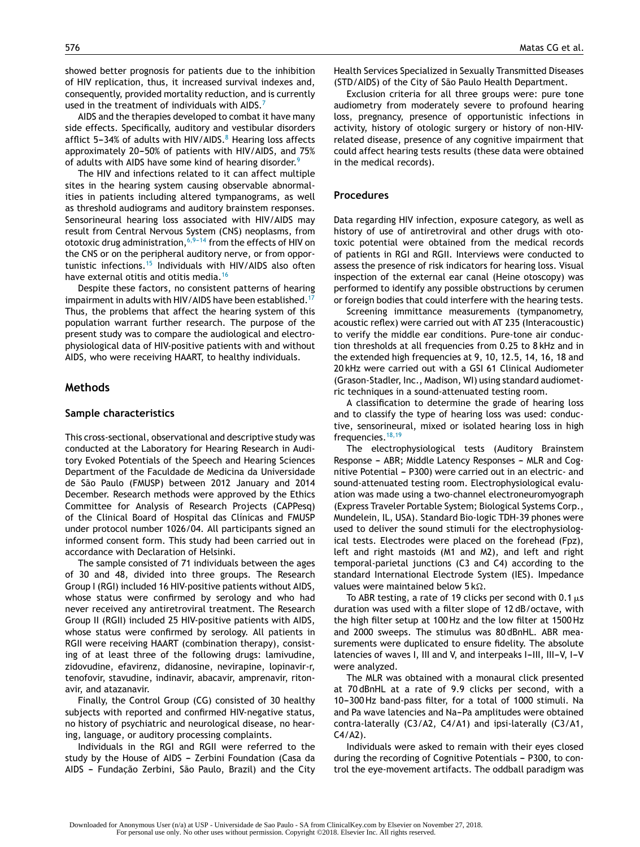showed better prognosis for patients due to the inhibition of HIV replication, thus, it increased survival indexes and, consequently, provided mortality reduction, and is currently used in the treatment of individuals with AIDS. $<sup>7</sup>$  $<sup>7</sup>$  $<sup>7</sup>$ </sup>

AIDS and the therapies developed to combat it have many side effects. Specifically, auditory and vestibular disorders afflict 5-34% of adults with [H](#page-7-0)IV/AIDS.<sup>8</sup> Hearing loss affects approximately 20-50% of patients with HIV/AIDS, and  $75%$ of adults with AIDS have some kind of hearing disorder.<sup>[9](#page-7-0)</sup>

The HIV and infections related to it can affect multiple sites in the hearing system causing observable abnormalities in patients including altered tympanograms, as well as threshold audiograms and auditory brainstem responses. Sensorineural hearing loss associated with HIV/AIDS may result from Central Nervous System (CNS) neoplasms, from ototoxic drug administration,  $6,9-14$  from the effects of HIV on the CNS or on the peripheral auditory nerve, or from opportunistic infections.[15](#page-8-0) Individuals with HIV/AIDS also often have external otitis and otitis media.<sup>[16](#page-8-0)</sup>

Despite these factors, no consistent patterns of hearing impairment in adults with HIV/AIDS have been established.<sup>[17](#page-8-0)</sup> Thus, the problems that affect the hearing system of this population warrant further research. The purpose of the present study was to compare the audiological and electrophysiological data of HIV-positive patients with and without AIDS, who were receiving HAART, to healthy individuals.

#### **Methods**

#### **Sample characteristics**

This cross-sectional, observational and descriptive study was conducted at the Laboratory for Hearing Research in Auditory Evoked Potentials of the Speech and Hearing Sciences Department of the Faculdade de Medicina da Universidade de São Paulo (FMUSP) between 2012 January and 2014 December. Research methods were approved by the Ethics Committee for Analysis of Research Projects (CAPPesq) of the Clinical Board of Hospital das Clínicas and FMUSP under protocol number 1026/04. All participants signed an informed consent form. This study had been carried out in accordance with Declaration of Helsinki.

The sample consisted of 71 individuals between the ages of 30 and 48, divided into three groups. The Research Group I (RGI) included 16 HIV-positive patients without AIDS, whose status were confirmed by serology and who had never received any antiretroviral treatment. The Research Group II (RGII) included 25 HIV-positive patients with AIDS, whose status were confirmed by serology. All patients in RGII were receiving HAART (combination therapy), consisting of at least three of the following drugs: lamivudine, zidovudine, efavirenz, didanosine, nevirapine, lopinavir-r, tenofovir, stavudine, indinavir, abacavir, amprenavir, ritonavir, and atazanavir.

Finally, the Control Group (CG) consisted of 30 healthy subjects with reported and confirmed HIV-negative status, no history of psychiatric and neurological disease, no hearing, language, or auditory processing complaints.

Individuals in the RGI and RGII were referred to the study by the House of AIDS - Zerbini Foundation (Casa da AIDS - Fundação Zerbini, São Paulo, Brazil) and the City Health Services Specialized in Sexually Transmitted Diseases (STD/AIDS) of the City of São Paulo Health Department.

Exclusion criteria for all three groups were: pure tone audiometry from moderately severe to profound hearing loss, pregnancy, presence of opportunistic infections in activity, history of otologic surgery or history of non-HIVrelated disease, presence of any cognitive impairment that could affect hearing tests results (these data were obtained in the medical records).

#### **Procedures**

Data regarding HIV infection, exposure category, as well as history of use of antiretroviral and other drugs with ototoxic potential were obtained from the medical records of patients in RGI and RGII. Interviews were conducted to assess the presence of risk indicators for hearing loss. Visual inspection of the external ear canal (Heine otoscopy) was performed to identify any possible obstructions by cerumen or foreign bodies that could interfere with the hearing tests.

Screening immittance measurements (tympanometry, acoustic reflex) were carried out with AT 235 (Interacoustic) to verify the middle ear conditions. Pure-tone air conduction thresholds at all frequencies from 0.25 to 8 kHz and in the extended high frequencies at 9, 10, 12.5, 14, 16, 18 and 20 kHz were carried out with a GSI 61 Clinical Audiometer (Grason-Stadler, Inc., Madison, WI) using standard audiometric techniques in a sound-attenuated testing room.

A classification to determine the grade of hearing loss and to classify the type of hearing loss was used: conductive, sensorineural, mixed or isolated hearing loss in high frequencies.<sup>[18,19](#page-8-0)</sup>

The electrophysiological tests (Auditory Brainstem Response - ABR; Middle Latency Responses - MLR and Cognitive Potential - P300) were carried out in an electric- and sound-attenuated testing room. Electrophysiological evaluation was made using a two-channel electroneuromyograph (Express Traveler Portable System; Biological Systems Corp., Mundelein, IL, USA). Standard Bio-logic TDH-39 phones were used to deliver the sound stimuli for the electrophysiological tests. Electrodes were placed on the forehead (Fpz), left and right mastoids (M1 and M2), and left and right temporal-parietal junctions (C3 and C4) according to the standard International Electrode System (IES). Impedance values were maintained below  $5 \, k\Omega$ .

To ABR testing, a rate of 19 clicks per second with 0.1  $\mu$ s duration was used with a filter slope of 12 dB/octave, with the high filter setup at 100 Hz and the low filter at 1500 Hz and 2000 sweeps. The stimulus was 80 dBnHL. ABR measurements were duplicated to ensure fidelity. The absolute latencies of waves I, III and V, and interpeaks I-III, III-V, I-V were analyzed.

The MLR was obtained with a monaural click presented at 70 dBnHL at a rate of 9.9 clicks per second, with a 10-300 Hz band-pass filter, for a total of 1000 stimuli. Na and Pa wave latencies and Na-Pa amplitudes were obtained contra-laterally (C3/A2, C4/A1) and ipsi-laterally (C3/A1, C4/A2).

Individuals were asked to remain with their eyes closed during the recording of Cognitive Potentials - P300, to control the eye-movement artifacts. The oddball paradigm was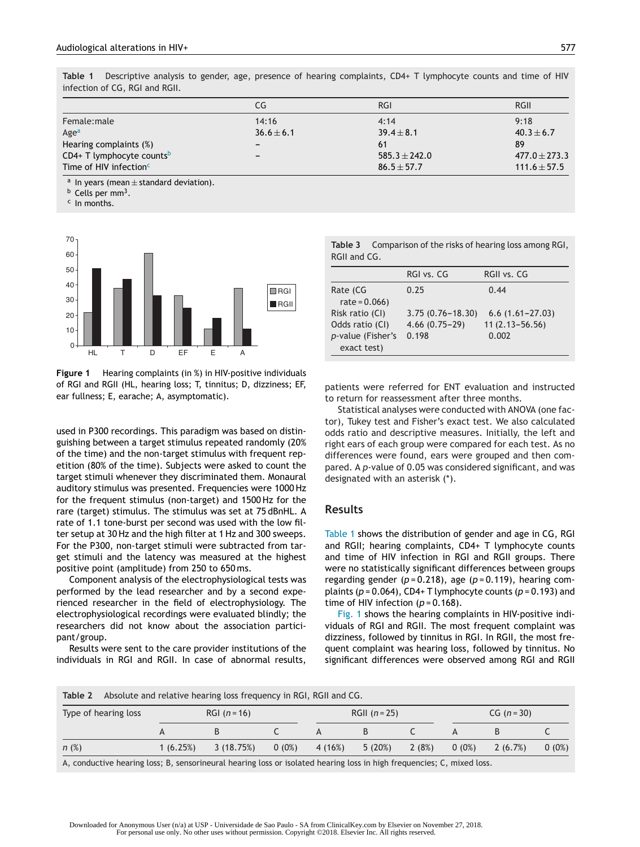<span id="page-3-0"></span>**Table 1** Descriptive analysis to gender, age, presence of hearing complaints, CD4+ T lymphocyte counts and time of HIV infection of CG, RGI and RGII.

|                                       | CG                       | RGI               | <b>RGII</b>       |
|---------------------------------------|--------------------------|-------------------|-------------------|
| Female:male                           | 14:16                    | 4:14              | 9:18              |
| Age <sup>a</sup>                      | $36.6 \pm 6.1$           | $39.4 \pm 8.1$    | $40.3 \pm 6.7$    |
| Hearing complaints (%)                | $\overline{\phantom{a}}$ | -61               | 89                |
| CD4+ T lymphocyte counts <sup>b</sup> | $\overline{\phantom{a}}$ | $585.3 \pm 242.0$ | $477.0 \pm 273.3$ |
| Time of HIV infection $c$             |                          | $86.5 \pm 57.7$   | $111.6 \pm 57.5$  |

<sup>a</sup> In years (mean  $\pm$  standard deviation).<br><sup>b</sup> Cells per mm<sup>3</sup>.

 $c$  In months.



**Figure 1** Hearing complaints (in %) in HIV-positive individuals of RGI and RGII (HL, hearing loss; T, tinnitus; D, dizziness; EF, ear fullness; E, earache; A, asymptomatic).

used in P300 recordings. This paradigm was based on distinguishing between a target stimulus repeated randomly (20% of the time) and the non-target stimulus with frequent repetition (80% of the time). Subjects were asked to count the target stimuli whenever they discriminated them. Monaural auditory stimulus was presented. Frequencies were 1000 Hz for the frequent stimulus (non-target) and 1500 Hz for the rare (target) stimulus. The stimulus was set at 75 dBnHL. A rate of 1.1 tone-burst per second was used with the low filter setup at 30 Hz and the high filter at 1 Hz and 300 sweeps. For the P300, non-target stimuli were subtracted from target stimuli and the latency was measured at the highest positive point (amplitude) from 250 to 650 ms.

Component analysis of the electrophysiological tests was performed by the lead researcher and by a second experienced researcher in the field of electrophysiology. The electrophysiological recordings were evaluated blindly; the researchers did not know about the association participant/group.

Results were sent to the care provider institutions of the individuals in RGI and RGII. In case of abnormal results,

**Table 3** Comparison of the risks of hearing loss among RGI, RGII and CG.

|                                                                        | RGI vs. CG                                       | RGII vs. CG                                        |
|------------------------------------------------------------------------|--------------------------------------------------|----------------------------------------------------|
| Rate (CG<br>$rate = 0.066$                                             | 0.25                                             | 0.44                                               |
| Risk ratio (CI)<br>Odds ratio (CI)<br>p-value (Fisher's<br>exact test) | $3.75(0.76 - 18.30)$<br>$4.66(0.75-29)$<br>0.198 | $6.6(1.61 - 27.03)$<br>$11(2.13 - 56.56)$<br>0.002 |

patients were referred for ENT evaluation and instructed to return for reassessment after three months.

Statistical analyses were conducted with ANOVA (one factor), Tukey test and Fisher's exact test. We also calculated odds ratio and descriptive measures. Initially, the left and right ears of each group were compared for each test. As no differences were found, ears were grouped and then compared. A *p*-value of 0.05 was considered significant, and was designated with an asterisk (\*).

## **Results**

Table 1 shows the distribution of gender and age in CG, RGI and RGII; hearing complaints, CD4+ T lymphocyte counts and time of HIV infection in RGI and RGII groups. There were no statistically significant differences between groups regarding gender  $(p=0.218)$ , age  $(p=0.119)$ , hearing complaints (*p* = 0.064), CD4+ T lymphocyte counts (*p* = 0.193) and time of HIV infection  $(p = 0.168)$ .

Fig. 1 shows the hearing complaints in HIV-positive individuals of RGI and RGII. The most frequent complaint was dizziness, followed by tinnitus in RGI. In RGII, the most frequent complaint was hearing loss, followed by tinnitus. No significant differences were observed among RGI and RGII

**Table 2** Absolute and relative hearing loss frequency in RGI, RGII and CG.

| Type of hearing loss |          | RGI $(n = 16)$ |          | RGII $(n = 25)$ |        | $CG (n = 30)$ |          |         |          |
|----------------------|----------|----------------|----------|-----------------|--------|---------------|----------|---------|----------|
|                      |          |                |          |                 |        |               |          |         |          |
| n(%)                 | 1(6.25%) | 3 (18.75%)     | $0(0\%)$ | 4 (16%)         | 5(20%) | 2(8%)         | $0(0\%)$ | 2(6.7%) | $0(0\%)$ |

A, conductive hearing loss; B, sensorineural hearing loss or isolated hearing loss in high frequencies; C, mixed loss.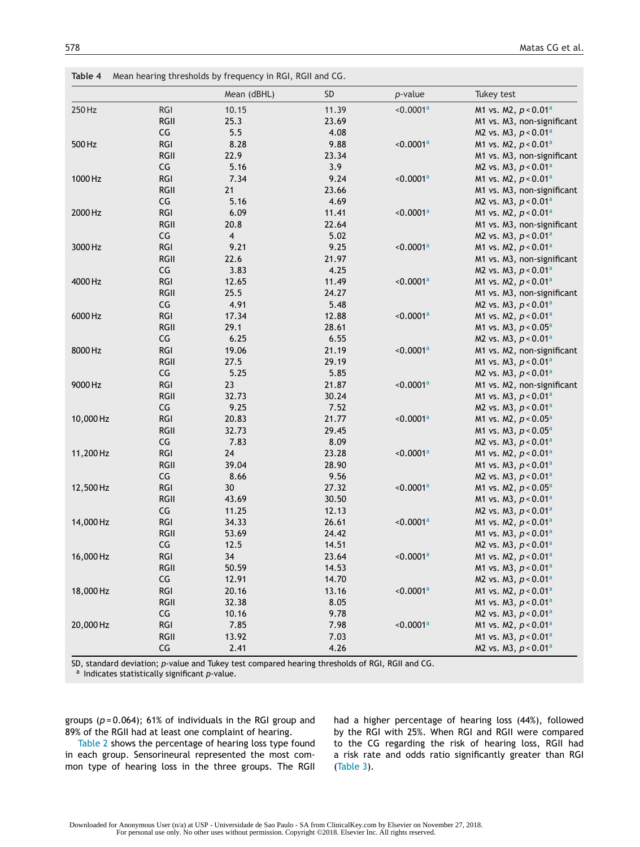<span id="page-4-0"></span>

|           |            | Mean (dBHL)    | <b>SD</b> | $p$ -value            | Tukey test                         |
|-----------|------------|----------------|-----------|-----------------------|------------------------------------|
| 250 Hz    | <b>RGI</b> | 10.15          | 11.39     | < 0.0001a             | M1 vs. M2, $p < 0.01$ <sup>a</sup> |
|           | RGII       | 25.3           | 23.69     |                       | M1 vs. M3, non-significant         |
|           | CG         | 5.5            | 4.08      |                       | M2 vs. M3, $p < 0.01^a$            |
| 500 Hz    | <b>RGI</b> | 8.28           | 9.88      | < 0.0001a             | M1 vs. M2, $p < 0.01$ <sup>a</sup> |
|           | RGII       | 22.9           | 23.34     |                       | M1 vs. M3, non-significant         |
|           | CG         | 5.16           | 3.9       |                       | M2 vs. M3, $p < 0.01$ <sup>a</sup> |
| 1000 Hz   | <b>RGI</b> | 7.34           | 9.24      | < 0.0001 <sup>a</sup> | M1 vs. M2, $p < 0.01^a$            |
|           | RGII       | 21             | 23.66     |                       | M1 vs. M3, non-significant         |
|           | CG         | 5.16           | 4.69      |                       | M2 vs. M3, $p < 0.01^a$            |
| 2000 Hz   | <b>RGI</b> | 6.09           | 11.41     | < 0.0001a             | M1 vs. M2, $p < 0.01^a$            |
|           | RGII       | 20.8           | 22.64     |                       | M1 vs. M3, non-significant         |
|           | CG         | $\overline{4}$ | 5.02      |                       | M2 vs. M3, $p < 0.01^a$            |
| 3000 Hz   | <b>RGI</b> | 9.21           | 9.25      | < 0.0001a             | M1 vs. M2, $p < 0.01$ <sup>a</sup> |
|           | RGII       | 22.6           | 21.97     |                       | M1 vs. M3, non-significant         |
|           | CG         | 3.83           | 4.25      |                       | M2 vs. M3, $p < 0.01^a$            |
| 4000 Hz   | <b>RGI</b> | 12.65          | 11.49     | < 0.0001a             | M1 vs. M2, $p < 0.01$ <sup>a</sup> |
|           | RGII       | 25.5           | 24.27     |                       | M1 vs. M3, non-significant         |
|           | CG         | 4.91           | 5.48      |                       | M2 vs. M3, $p < 0.01^a$            |
| 6000 Hz   | <b>RGI</b> | 17.34          | 12.88     | < 0.0001a             | M1 vs. M2, p < 0.01 <sup>a</sup>   |
|           | RGII       | 29.1           | 28.61     |                       | M1 vs. M3, $p < 0.05^a$            |
|           | CG         | 6.25           | 6.55      |                       | M2 vs. M3, $p < 0.01a$             |
| 8000 Hz   | <b>RGI</b> | 19.06          | 21.19     | < 0.0001a             | M1 vs. M2, non-significant         |
|           | RGII       | 27.5           | 29.19     |                       | M1 vs. M3, $p < 0.01^a$            |
|           | CG         | 5.25           | 5.85      |                       | M2 vs. M3, $p < 0.01^a$            |
| 9000 Hz   | <b>RGI</b> | 23             | 21.87     | < 0.0001a             | M1 vs. M2, non-significant         |
|           | RGII       | 32.73          | 30.24     |                       | M1 vs. M3, $p < 0.01$ <sup>a</sup> |
|           | CG         | 9.25           | 7.52      |                       | M2 vs. M3, $p < 0.01^a$            |
| 10,000 Hz | <b>RGI</b> | 20.83          | 21.77     | < 0.0001a             | M1 vs. M2, $p < 0.05^a$            |
|           | RGII       | 32.73          | 29.45     |                       | M1 vs. M3, $p < 0.05^a$            |
|           | CG         | 7.83           | 8.09      |                       | M2 vs. M3, $p < 0.01^a$            |
| 11,200 Hz | <b>RGI</b> | 24             | 23.28     | < 0.0001a             | M1 vs. M2, $p < 0.01^a$            |
|           | RGII       | 39.04          | 28.90     |                       | M1 vs. M3, $p < 0.01^a$            |
|           | CG         | 8.66           | 9.56      |                       | M2 vs. M3, $p < 0.01^a$            |
| 12,500 Hz | <b>RGI</b> | 30             | 27.32     | < 0.0001a             | M1 vs. M2, $p < 0.05^a$            |
|           | RGII       | 43.69          | 30.50     |                       | M1 vs. M3, $p < 0.01^a$            |
|           | CG         | 11.25          | 12.13     |                       | M2 vs. M3, $p < 0.01a$             |
| 14,000 Hz | <b>RGI</b> | 34.33          | 26.61     | < 0.0001 <sup>a</sup> | M1 vs. M2, $p < 0.01^a$            |
|           | RGII       | 53.69          | 24.42     |                       | M1 vs. M3, $p < 0.01^a$            |
|           | CG         | 12.5           | 14.51     |                       | M2 vs. M3, $p < 0.01a$             |
| 16,000 Hz | <b>RGI</b> | 34             | 23.64     | < 0.0001 <sup>a</sup> | M1 vs. M2, $p < 0.01a$             |
|           | RGII       | 50.59          | 14.53     |                       | M1 vs. M3, $p < 0.01^a$            |
|           | CG         | 12.91          | 14.70     |                       | M2 vs. M3, $p < 0.01^a$            |
| 18,000 Hz | <b>RGI</b> | 20.16          | 13.16     | < 0.0001 <sup>a</sup> | M1 vs. M2, $p < 0.01^a$            |
|           | RGII       | 32.38          | 8.05      |                       | M1 vs. M3, $p < 0.01^a$            |
|           | CG         | 10.16          | 9.78      |                       | M2 vs. M3, $p < 0.01^a$            |
| 20,000 Hz | RGI        | 7.85           | 7.98      | < 0.0001 <sup>a</sup> | M1 vs. M2, $p < 0.01^a$            |
|           | RGII       | 13.92          | 7.03      |                       | M1 vs. M3, $p < 0.01^a$            |
|           | CG         | 2.41           | 4.26      |                       | M2 vs. M3, $p < 0.01$ <sup>a</sup> |

SD, standard deviation; *p*-value and Tukey test compared hearing thresholds of RGI, RGII and CG.

<sup>a</sup> Indicates statistically significant *p*-value.

groups (*p* = 0.064); 61% of individuals in the RGI group and 89% of the RGII had at least one complaint of hearing.

[Table](#page-3-0) 2 shows the percentage of hearing loss type found in each group. Sensorineural represented the most common type of hearing loss in the three groups. The RGII had a higher percentage of hearing loss (44%), followed by the RGI with 25%. When RGI and RGII were compared to the CG regarding the risk of hearing loss, RGII had a risk rate and odds ratio significantly greater than RGI [\(Table](#page-3-0) 3).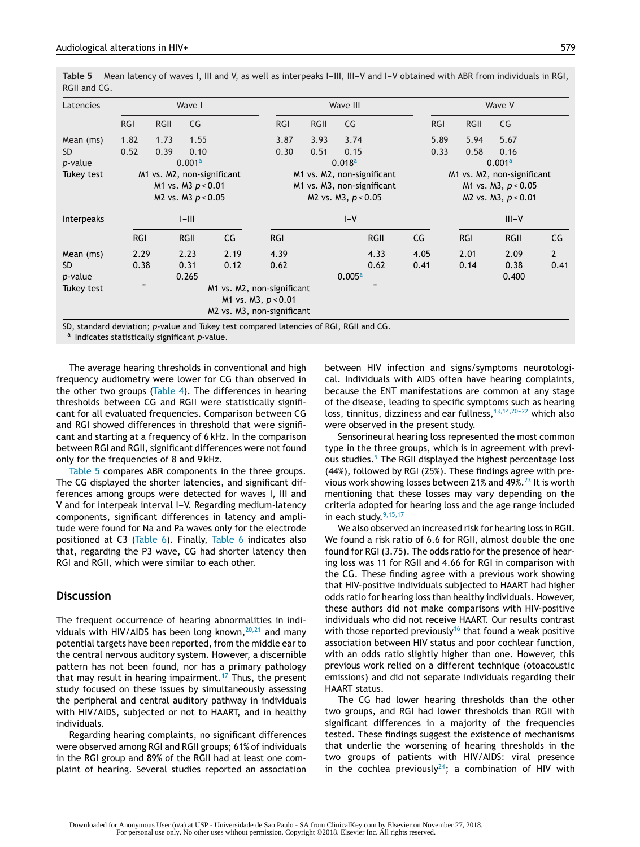Table 5 Mean latency of waves I, III and V, as well as interpeaks I-III, III-V and I-V obtained with ABR from individuals in RGI, RGII and CG.

| Latencies         |                    |                            | Wave I      |      |                            |                            | Wave III           |      | Wave V     |                       |                            |                |  |  |
|-------------------|--------------------|----------------------------|-------------|------|----------------------------|----------------------------|--------------------|------|------------|-----------------------|----------------------------|----------------|--|--|
|                   | <b>RGI</b>         | <b>RGII</b>                | CG          |      | <b>RGI</b>                 | <b>RGII</b>                | CG                 |      | <b>RGI</b> | <b>RGII</b>           | CG                         |                |  |  |
| Mean (ms)         | 1.82               | 1.73                       | 1.55        |      | 3.87                       | 3.93                       | 3.74               |      | 5.89       | 5.94                  | 5.67                       |                |  |  |
| SD.               | 0.52               | 0.39                       | 0.10        |      | 0.30                       | 0.51                       | 0.15               |      | 0.33       | 0.58                  | 0.16                       |                |  |  |
| <i>p</i> -value   | 0.001 <sup>a</sup> |                            |             |      |                            | 0.018 <sup>a</sup>         |                    |      |            |                       | 0.001 <sup>a</sup>         |                |  |  |
| Tukey test        |                    | M1 vs. M2, non-significant |             |      |                            | M1 vs. M2, non-significant |                    |      |            |                       | M1 vs. M2, non-significant |                |  |  |
|                   |                    | M1 vs. M3 $p < 0.01$       |             |      |                            | M1 vs. M3, non-significant |                    |      |            | M1 vs. M3, $p < 0.05$ |                            |                |  |  |
|                   |                    | M2 vs. M3 $p < 0.05$       |             |      |                            | M2 vs. M3, $p < 0.05$      |                    |      |            |                       | M2 vs. M3, $p < 0.01$      |                |  |  |
| <b>Interpeaks</b> | $I$ -III           |                            |             |      | $I-V$                      |                            |                    |      | $III - V$  |                       |                            |                |  |  |
|                   | <b>RGI</b>         |                            | <b>RGII</b> | CG   | <b>RGI</b>                 |                            | <b>RGII</b>        | CG   |            | <b>RGI</b>            | <b>RGII</b>                | CG             |  |  |
| Mean (ms)         | 2.29               |                            | 2.23        | 2.19 | 4.39                       |                            | 4.33               | 4.05 |            | 2.01                  | 2.09                       | $\overline{2}$ |  |  |
| SD.               | 0.38               |                            | 0.31        | 0.12 | 0.62                       |                            | 0.62               | 0.41 |            | 0.14                  | 0.38                       | 0.41           |  |  |
| <i>p</i> -value   |                    |                            | 0.265       |      |                            |                            | 0.005 <sup>a</sup> |      |            |                       | 0.400                      |                |  |  |
| Tukey test        |                    |                            |             |      | M1 vs. M2, non-significant |                            |                    |      |            |                       |                            |                |  |  |
|                   |                    |                            |             |      | M1 vs. M3, $p < 0.01$      |                            |                    |      |            |                       |                            |                |  |  |
|                   |                    |                            |             |      | M2 vs. M3, non-significant |                            |                    |      |            |                       |                            |                |  |  |

SD, standard deviation; *p*-value and Tukey test compared latencies of RGI, RGII and CG. <sup>a</sup> Indicates statistically significant *p*-value.

The average hearing thresholds in conventional and high frequency audiometry were lower for CG than observed in the other two groups [\(Table](#page-4-0) 4). The differences in hearing thresholds between CG and RGII were statistically significant for all evaluated frequencies. Comparison between CG and RGI showed differences in threshold that were significant and starting at a frequency of 6 kHz. In the comparison between RGI and RGII, significant differences were not found only for the frequencies of 8 and 9 kHz.

Table 5 compares ABR components in the three groups. The CG displayed the shorter latencies, and significant differences among groups were detected for waves I, III and V and for interpeak interval I-V. Regarding medium-latency components, significant differences in latency and amplitude were found for Na and Pa waves only for the electrode positioned at C3 ([Table](#page-6-0) 6). Finally, [Table](#page-6-0) 6 indicates also that, regarding the P3 wave, CG had shorter latency then RGI and RGII, which were similar to each other.

## **Discussion**

The frequent occurrence of hearing abnormalities in individuals with HIV/AIDS has been long known,  $20,21$  and many potential targets have been reported, from the middle ear to the central nervous auditory system. However, a discernible pattern has not been found, nor has a primary pathology that may result in hearing impairment.<sup>[17](#page-8-0)</sup> Thus, the present study focused on these issues by simultaneously assessing the peripheral and central auditory pathway in individuals with HIV/AIDS, subjected or not to HAART, and in healthy individuals.

Regarding hearing complaints, no significant differences were observed among RGI and RGII groups; 61% of individuals in the RGI group and 89% of the RGII had at least one complaint of hearing. Several studies reported an association between HIV infection and signs/symptoms neurotological. Individuals with AIDS often have hearing complaints, because the ENT manifestations are common at any stage of the disease, leading to specific symptoms such as hearing loss, tinnitus, dizziness and ear fullness,  $13,14,20-22$  which also were observed in the present study.

Sensorineural hearing loss represented the most common type in the three groups, which is in agreement with previ-ous studies.<sup>[9](#page-7-0)</sup> The RGII displayed the highest percentage loss (44%), followed by RGI (25%). These findings agree with pre-vious work showing losses between 21% and 49%.<sup>[23](#page-8-0)</sup> It is worth mentioning that these losses may vary depending on the criteria adopted for hearing loss and the age range included in each study. $9,15,17$ 

We also observed an increased risk for hearing loss in RGII. We found a risk ratio of 6.6 for RGII, almost double the one found for RGI (3.75). The odds ratio for the presence of hearing loss was 11 for RGII and 4.66 for RGI in comparison with the CG. These finding agree with a previous work showing that HIV-positive individuals subjected to HAART had higher odds ratio for hearing loss than healthy individuals. However, these authors did not make comparisons with HIV-positive individuals who did not receive HAART. Our results contrast with those reported previously<sup>[16](#page-8-0)</sup> that found a weak positive association between HIV status and poor cochlear function, with an odds ratio slightly higher than one. However, this previous work relied on a different technique (otoacoustic emissions) and did not separate individuals regarding their HAART status.

The CG had lower hearing thresholds than the other two groups, and RGI had lower thresholds than RGII with significant differences in a majority of the frequencies tested. These findings suggest the existence of mechanisms that underlie the worsening of hearing thresholds in the two groups of patients with HIV/AIDS: viral presence in the cochlea previously $24$ ; a combination of HIV with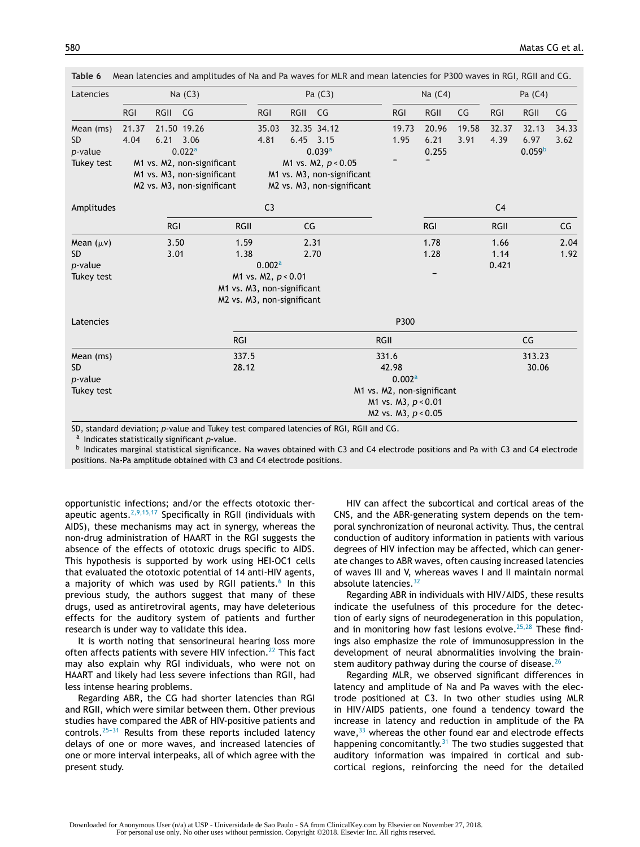| Latencies        |            |                                                          | Na (C3)                    |             |                     |      | Pa (C3)                    |             |                            | Na (C4) |       |                | Pa $(C4)$          |       |
|------------------|------------|----------------------------------------------------------|----------------------------|-------------|---------------------|------|----------------------------|-------------|----------------------------|---------|-------|----------------|--------------------|-------|
|                  | <b>RGI</b> | RGII                                                     | CG                         |             | <b>RGI</b>          | RGII | CG                         |             | <b>RGI</b>                 | RGII    | CG    | <b>RGI</b>     | <b>RGII</b>        | CG    |
| Mean (ms)        | 21.37      |                                                          | 21.50 19.26                |             | 35.03               |      | 32.35 34.12                |             | 19.73                      | 20.96   | 19.58 | 32.37          | 32.13              | 34.33 |
| <b>SD</b>        | 4.04       | 6.21 3.06                                                |                            |             | 4.81                |      | $6.45$ 3.15                |             | 1.95                       | 6.21    | 3.91  | 4.39           | 6.97               | 3.62  |
| p-value          |            |                                                          | 0.022 <sup>a</sup>         |             |                     |      | 0.039a                     |             |                            | 0.255   |       |                | 0.059 <sup>b</sup> |       |
| Tukey test       |            |                                                          | M1 vs. M2, non-significant |             |                     |      | M1 vs. M2, p < 0.05        |             |                            |         |       |                |                    |       |
|                  |            | M1 vs. M3, non-significant<br>M1 vs. M3, non-significant |                            |             |                     |      |                            |             |                            |         |       |                |                    |       |
|                  |            |                                                          | M2 vs. M3, non-significant |             |                     |      | M2 vs. M3, non-significant |             |                            |         |       |                |                    |       |
| Amplitudes       |            |                                                          |                            |             | C <sub>3</sub>      |      |                            |             |                            |         |       | C <sub>4</sub> |                    |       |
|                  |            | <b>RGI</b>                                               |                            | <b>RGII</b> |                     | CG   |                            |             |                            | RGI     |       | RGII           |                    | CG    |
| Mean $(\mu \nu)$ |            | 3.50                                                     |                            | 1.59        |                     | 2.31 |                            |             |                            | 1.78    |       | 1.66           |                    | 2.04  |
| <b>SD</b>        |            | 3.01                                                     |                            | 1.38        |                     |      | 2.70                       |             |                            | 1.28    |       | 1.14           |                    | 1.92  |
| p-value          |            |                                                          |                            |             | 0.002a              |      |                            |             |                            |         |       | 0.421          |                    |       |
| Tukey test       |            |                                                          |                            |             | M1 vs. M2, p < 0.01 |      |                            |             |                            |         |       |                |                    |       |
|                  |            | M1 vs. M3, non-significant                               |                            |             |                     |      |                            |             |                            |         |       |                |                    |       |
|                  |            | M2 vs. M3, non-significant                               |                            |             |                     |      |                            |             |                            |         |       |                |                    |       |
| Latencies        |            |                                                          |                            |             | P300                |      |                            |             |                            |         |       |                |                    |       |
|                  |            |                                                          |                            | <b>RGI</b>  |                     |      |                            | <b>RGII</b> |                            |         |       |                | CG                 |       |
| Mean (ms)        |            |                                                          |                            | 337.5       |                     |      |                            |             | 331.6                      |         |       |                | 313.23             |       |
| <b>SD</b>        |            |                                                          |                            | 28.12       |                     |      |                            |             | 42.98                      |         |       |                | 30.06              |       |
| p-value          |            |                                                          |                            |             |                     |      |                            |             | 0.002a                     |         |       |                |                    |       |
| Tukey test       |            |                                                          |                            |             |                     |      |                            |             | M1 vs. M2, non-significant |         |       |                |                    |       |
|                  |            |                                                          |                            |             |                     |      |                            |             | M1 vs. M3, p < 0.01        |         |       |                |                    |       |
|                  |            |                                                          |                            |             |                     |      |                            |             | M2 vs. M3, p < 0.05        |         |       |                |                    |       |

<span id="page-6-0"></span>**Table 6** Mean latencies and amplitudes of Na and Pa waves for MLR and mean latencies for P300 waves in RGI, RGII and CG.

SD, standard deviation; *p*-value and Tukey test compared latencies of RGI, RGII and CG.

<sup>a</sup> Indicates statistically significant *p*-value.

b Indicates marginal statistical significance. Na waves obtained with C3 and C4 electrode positions and Pa with C3 and C4 electrode positions. Na-Pa amplitude obtained with C3 and C4 electrode positions.

opportunistic infections; and/or the effects ototoxic therapeutic agents.[2,9,15,17](#page-7-0) Specifically in RGII (individuals with AIDS), these mechanisms may act in synergy, whereas the non-drug administration of HAART in the RGI suggests the absence of the effects of ototoxic drugs specific to AIDS. This hypothesis is supported by work using HEI-OC1 cells that evaluated the ototoxic potential of 14 anti-HIV agents, a majority of which was used by RGII patients.<sup>[6](#page-7-0)</sup> In this previous study, the authors suggest that many of these drugs, used as antiretroviral agents, may have deleterious effects for the auditory system of patients and further research is under way to validate this idea.

It is worth noting that sensorineural hearing loss more often affects patients with severe HIV infection.<sup>[22](#page-8-0)</sup> This fact may also explain why RGI individuals, who were not on HAART and likely had less severe infections than RGII, had less intense hearing problems.

Regarding ABR, the CG had shorter latencies than RGI and RGII, which were similar between them. Other previous studies have compared the ABR of HIV-positive patients and controls. $25-31$  Results from these reports included latency delays of one or more waves, and increased latencies of one or more interval interpeaks, all of which agree with the present study.

HIV can affect the subcortical and cortical areas of the CNS, and the ABR-generating system depends on the temporal synchronization of neuronal activity. Thus, the central conduction of auditory information in patients with various degrees of HIV infection may be affected, which can generate changes to ABR waves, often causing increased latencies of waves III and V, whereas waves I and II maintain normal absolute latencies.<sup>[32](#page-8-0)</sup>

Regarding ABR in individuals with HIV/AIDS, these results indicate the usefulness of this procedure for the detection of early signs of neurodegeneration in this population, and in monitoring how fast lesions evolve.<sup>[25,28](#page-8-0)</sup> These findings also emphasize the role of immunosuppression in the development of neural abnormalities involving the brainstem auditory pathway during the course of disease.  $26$ 

Regarding MLR, we observed significant differences in latency and amplitude of Na and Pa waves with the electrode positioned at C3. In two other studies using MLR in HIV/AIDS patients, one found a tendency toward the increase in latency and reduction in amplitude of the PA wave,  $33$  whereas the other found ear and electrode effects happening concomitantly.<sup>[31](#page-8-0)</sup> The two studies suggested that auditory information was impaired in cortical and subcortical regions, reinforcing the need for the detailed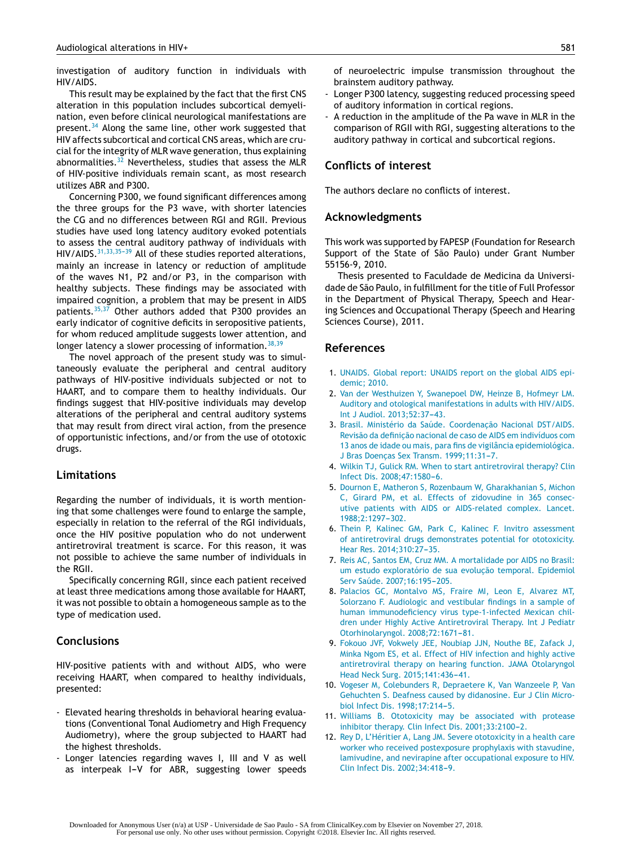<span id="page-7-0"></span>investigation of auditory function in individuals with HIV/AIDS.

This result may be explained by the fact that the first CNS alteration in this population includes subcortical demyelination, even before clinical neurological manifestations are present.<sup>[34](#page-8-0)</sup> Along the same line, other work suggested that HIV affects subcortical and cortical CNS areas, which are crucial for the integrity of MLR wave generation, thus explaining abnormalities. $32$  Nevertheless, studies that assess the MLR of HIV-positive individuals remain scant, as most research utilizes ABR and P300.

Concerning P300, we found significant differences among the three groups for the P3 wave, with shorter latencies the CG and no differences between RGI and RGII. Previous studies have used long latency auditory evoked potentials to assess the central auditory pathway of individuals with  $HIV/AIDS.$ <sup>31,33,35-39</sup> All of these studies reported alterations, mainly an increase in latency or reduction of amplitude of the waves N1, P2 and/or P3, in the comparison with healthy subjects. These findings may be associated with impaired cognition, a problem that may be present in AIDS patients.[35,37](#page-8-0) Other authors added that P300 provides an early indicator of cognitive deficits in seropositive patients, for whom reduced amplitude suggests lower attention, and longer latency a slower processing of information.  $38,39$ 

The novel approach of the present study was to simultaneously evaluate the peripheral and central auditory pathways of HIV-positive individuals subjected or not to HAART, and to compare them to healthy individuals. Our findings suggest that HIV-positive individuals may develop alterations of the peripheral and central auditory systems that may result from direct viral action, from the presence of opportunistic infections, and/or from the use of ototoxic drugs.

## **Limitations**

Regarding the number of individuals, it is worth mentioning that some challenges were found to enlarge the sample, especially in relation to the referral of the RGI individuals, once the HIV positive population who do not underwent antiretroviral treatment is scarce. For this reason, it was not possible to achieve the same number of individuals in the RGII.

Specifically concerning RGII, since each patient received at least three medications among those available for HAART, it was not possible to obtain a homogeneous sample as to the type of medication used.

# **Conclusions**

HIV-positive patients with and without AIDS, who were receiving HAART, when compared to healthy individuals, presented:

- Elevated hearing thresholds in behavioral hearing evaluations (Conventional Tonal Audiometry and High Frequency Audiometry), where the group subjected to HAART had the highest thresholds.
- Longer latencies regarding waves I, III and V as well as interpeak I-V for ABR, suggesting lower speeds

of neuroelectric impulse transmission throughout the brainstem auditory pathway.

- Longer P300 latency, suggesting reduced processing speed of auditory information in cortical regions.
- A reduction in the amplitude of the Pa wave in MLR in the comparison of RGII with RGI, suggesting alterations to the auditory pathway in cortical and subcortical regions.

## **Conflicts of interest**

The authors declare no conflicts of interest.

#### **Acknowledgments**

This work was supported by FAPESP (Foundation for Research Support of the State of São Paulo) under Grant Number 55156-9, 2010.

Thesis presented to Faculdade de Medicina da Universidade de São Paulo, in fulfillment for the title of Full Professor in the Department of Physical Therapy, Speech and Hearing Sciences and Occupational Therapy (Speech and Hearing Sciences Course), 2011.

#### **References**

- 1. [UNAIDS.](http://refhub.elsevier.com/S1808-8694(17)30117-9/sbref0200) [Global](http://refhub.elsevier.com/S1808-8694(17)30117-9/sbref0200) [report:](http://refhub.elsevier.com/S1808-8694(17)30117-9/sbref0200) [UNAIDS](http://refhub.elsevier.com/S1808-8694(17)30117-9/sbref0200) [report](http://refhub.elsevier.com/S1808-8694(17)30117-9/sbref0200) [on](http://refhub.elsevier.com/S1808-8694(17)30117-9/sbref0200) [the](http://refhub.elsevier.com/S1808-8694(17)30117-9/sbref0200) [global](http://refhub.elsevier.com/S1808-8694(17)30117-9/sbref0200) [AIDS](http://refhub.elsevier.com/S1808-8694(17)30117-9/sbref0200) [epi](http://refhub.elsevier.com/S1808-8694(17)30117-9/sbref0200)[demic;](http://refhub.elsevier.com/S1808-8694(17)30117-9/sbref0200) [2010.](http://refhub.elsevier.com/S1808-8694(17)30117-9/sbref0200)
- 2. [Van](http://refhub.elsevier.com/S1808-8694(17)30117-9/sbref0205) [der](http://refhub.elsevier.com/S1808-8694(17)30117-9/sbref0205) [Westhuizen](http://refhub.elsevier.com/S1808-8694(17)30117-9/sbref0205) [Y,](http://refhub.elsevier.com/S1808-8694(17)30117-9/sbref0205) [Swanepoel](http://refhub.elsevier.com/S1808-8694(17)30117-9/sbref0205) [DW,](http://refhub.elsevier.com/S1808-8694(17)30117-9/sbref0205) [Heinze](http://refhub.elsevier.com/S1808-8694(17)30117-9/sbref0205) [B,](http://refhub.elsevier.com/S1808-8694(17)30117-9/sbref0205) [Hofmeyr](http://refhub.elsevier.com/S1808-8694(17)30117-9/sbref0205) [LM.](http://refhub.elsevier.com/S1808-8694(17)30117-9/sbref0205) [Auditory](http://refhub.elsevier.com/S1808-8694(17)30117-9/sbref0205) [and](http://refhub.elsevier.com/S1808-8694(17)30117-9/sbref0205) [otological](http://refhub.elsevier.com/S1808-8694(17)30117-9/sbref0205) [manifestations](http://refhub.elsevier.com/S1808-8694(17)30117-9/sbref0205) [in](http://refhub.elsevier.com/S1808-8694(17)30117-9/sbref0205) [adults](http://refhub.elsevier.com/S1808-8694(17)30117-9/sbref0205) [with](http://refhub.elsevier.com/S1808-8694(17)30117-9/sbref0205) [HIV/AIDS.](http://refhub.elsevier.com/S1808-8694(17)30117-9/sbref0205) [Int](http://refhub.elsevier.com/S1808-8694(17)30117-9/sbref0205) [J](http://refhub.elsevier.com/S1808-8694(17)30117-9/sbref0205) [Audiol.](http://refhub.elsevier.com/S1808-8694(17)30117-9/sbref0205) [2013;52:37](http://refhub.elsevier.com/S1808-8694(17)30117-9/sbref0205)-[43.](http://refhub.elsevier.com/S1808-8694(17)30117-9/sbref0205)
- 3. [Brasil.](http://refhub.elsevier.com/S1808-8694(17)30117-9/sbref0210) [Ministério](http://refhub.elsevier.com/S1808-8694(17)30117-9/sbref0210) [da](http://refhub.elsevier.com/S1808-8694(17)30117-9/sbref0210) [Saúde.](http://refhub.elsevier.com/S1808-8694(17)30117-9/sbref0210) Coordenação [Nacional](http://refhub.elsevier.com/S1808-8694(17)30117-9/sbref0210) [DST/AIDS.](http://refhub.elsevier.com/S1808-8694(17)30117-9/sbref0210) [Revisão](http://refhub.elsevier.com/S1808-8694(17)30117-9/sbref0210) [da](http://refhub.elsevier.com/S1808-8694(17)30117-9/sbref0210) definição [nacional](http://refhub.elsevier.com/S1808-8694(17)30117-9/sbref0210) [de](http://refhub.elsevier.com/S1808-8694(17)30117-9/sbref0210) [caso](http://refhub.elsevier.com/S1808-8694(17)30117-9/sbref0210) de [AIDS](http://refhub.elsevier.com/S1808-8694(17)30117-9/sbref0210) [em](http://refhub.elsevier.com/S1808-8694(17)30117-9/sbref0210) [indivíduos](http://refhub.elsevier.com/S1808-8694(17)30117-9/sbref0210) [com](http://refhub.elsevier.com/S1808-8694(17)30117-9/sbref0210) [13](http://refhub.elsevier.com/S1808-8694(17)30117-9/sbref0210) [anos](http://refhub.elsevier.com/S1808-8694(17)30117-9/sbref0210) [de](http://refhub.elsevier.com/S1808-8694(17)30117-9/sbref0210) [idade](http://refhub.elsevier.com/S1808-8694(17)30117-9/sbref0210) [ou](http://refhub.elsevier.com/S1808-8694(17)30117-9/sbref0210) [mais,](http://refhub.elsevier.com/S1808-8694(17)30117-9/sbref0210) [para](http://refhub.elsevier.com/S1808-8694(17)30117-9/sbref0210) [fins](http://refhub.elsevier.com/S1808-8694(17)30117-9/sbref0210) [de](http://refhub.elsevier.com/S1808-8694(17)30117-9/sbref0210) [vigilância](http://refhub.elsevier.com/S1808-8694(17)30117-9/sbref0210) [epidemiológica.](http://refhub.elsevier.com/S1808-8694(17)30117-9/sbref0210) [J](http://refhub.elsevier.com/S1808-8694(17)30117-9/sbref0210) [Bras](http://refhub.elsevier.com/S1808-8694(17)30117-9/sbref0210) Doenças [Sex](http://refhub.elsevier.com/S1808-8694(17)30117-9/sbref0210) [Transm.](http://refhub.elsevier.com/S1808-8694(17)30117-9/sbref0210) [1999;11:31](http://refhub.elsevier.com/S1808-8694(17)30117-9/sbref0210)-[7.](http://refhub.elsevier.com/S1808-8694(17)30117-9/sbref0210)
- 4. [Wilkin](http://refhub.elsevier.com/S1808-8694(17)30117-9/sbref0215) [TJ,](http://refhub.elsevier.com/S1808-8694(17)30117-9/sbref0215) [Gulick](http://refhub.elsevier.com/S1808-8694(17)30117-9/sbref0215) [RM.](http://refhub.elsevier.com/S1808-8694(17)30117-9/sbref0215) [When](http://refhub.elsevier.com/S1808-8694(17)30117-9/sbref0215) [to](http://refhub.elsevier.com/S1808-8694(17)30117-9/sbref0215) [start](http://refhub.elsevier.com/S1808-8694(17)30117-9/sbref0215) [antiretroviral](http://refhub.elsevier.com/S1808-8694(17)30117-9/sbref0215) [therapy?](http://refhub.elsevier.com/S1808-8694(17)30117-9/sbref0215) [Clin](http://refhub.elsevier.com/S1808-8694(17)30117-9/sbref0215) [Infect](http://refhub.elsevier.com/S1808-8694(17)30117-9/sbref0215) [Dis.](http://refhub.elsevier.com/S1808-8694(17)30117-9/sbref0215) 2008;47:1580-6.
- 5. [Dournon](http://refhub.elsevier.com/S1808-8694(17)30117-9/sbref0220) [E,](http://refhub.elsevier.com/S1808-8694(17)30117-9/sbref0220) [Matheron](http://refhub.elsevier.com/S1808-8694(17)30117-9/sbref0220) [S,](http://refhub.elsevier.com/S1808-8694(17)30117-9/sbref0220) [Rozenbaum](http://refhub.elsevier.com/S1808-8694(17)30117-9/sbref0220) [W,](http://refhub.elsevier.com/S1808-8694(17)30117-9/sbref0220) [Gharakhanian](http://refhub.elsevier.com/S1808-8694(17)30117-9/sbref0220) [S,](http://refhub.elsevier.com/S1808-8694(17)30117-9/sbref0220) [Michon](http://refhub.elsevier.com/S1808-8694(17)30117-9/sbref0220) [C,](http://refhub.elsevier.com/S1808-8694(17)30117-9/sbref0220) [Girard](http://refhub.elsevier.com/S1808-8694(17)30117-9/sbref0220) [PM,](http://refhub.elsevier.com/S1808-8694(17)30117-9/sbref0220) [et](http://refhub.elsevier.com/S1808-8694(17)30117-9/sbref0220) [al.](http://refhub.elsevier.com/S1808-8694(17)30117-9/sbref0220) [Effects](http://refhub.elsevier.com/S1808-8694(17)30117-9/sbref0220) [of](http://refhub.elsevier.com/S1808-8694(17)30117-9/sbref0220) [zidovudine](http://refhub.elsevier.com/S1808-8694(17)30117-9/sbref0220) [in](http://refhub.elsevier.com/S1808-8694(17)30117-9/sbref0220) [365](http://refhub.elsevier.com/S1808-8694(17)30117-9/sbref0220) [consec](http://refhub.elsevier.com/S1808-8694(17)30117-9/sbref0220)[utive](http://refhub.elsevier.com/S1808-8694(17)30117-9/sbref0220) [patients](http://refhub.elsevier.com/S1808-8694(17)30117-9/sbref0220) [with](http://refhub.elsevier.com/S1808-8694(17)30117-9/sbref0220) [AIDS](http://refhub.elsevier.com/S1808-8694(17)30117-9/sbref0220) [or](http://refhub.elsevier.com/S1808-8694(17)30117-9/sbref0220) [AIDS-related](http://refhub.elsevier.com/S1808-8694(17)30117-9/sbref0220) [complex.](http://refhub.elsevier.com/S1808-8694(17)30117-9/sbref0220) [Lancet.](http://refhub.elsevier.com/S1808-8694(17)30117-9/sbref0220) 1988:2:1297-302.
- 6. [Thein](http://refhub.elsevier.com/S1808-8694(17)30117-9/sbref0225) [P,](http://refhub.elsevier.com/S1808-8694(17)30117-9/sbref0225) [Kalinec](http://refhub.elsevier.com/S1808-8694(17)30117-9/sbref0225) [GM,](http://refhub.elsevier.com/S1808-8694(17)30117-9/sbref0225) [Park](http://refhub.elsevier.com/S1808-8694(17)30117-9/sbref0225) [C,](http://refhub.elsevier.com/S1808-8694(17)30117-9/sbref0225) [Kalinec](http://refhub.elsevier.com/S1808-8694(17)30117-9/sbref0225) [F.](http://refhub.elsevier.com/S1808-8694(17)30117-9/sbref0225) [Invitro](http://refhub.elsevier.com/S1808-8694(17)30117-9/sbref0225) [assessment](http://refhub.elsevier.com/S1808-8694(17)30117-9/sbref0225) [of](http://refhub.elsevier.com/S1808-8694(17)30117-9/sbref0225) [antiretroviral](http://refhub.elsevier.com/S1808-8694(17)30117-9/sbref0225) [drugs](http://refhub.elsevier.com/S1808-8694(17)30117-9/sbref0225) [demonstrates](http://refhub.elsevier.com/S1808-8694(17)30117-9/sbref0225) [potential](http://refhub.elsevier.com/S1808-8694(17)30117-9/sbref0225) [for](http://refhub.elsevier.com/S1808-8694(17)30117-9/sbref0225) [ototoxicity.](http://refhub.elsevier.com/S1808-8694(17)30117-9/sbref0225) [Hear](http://refhub.elsevier.com/S1808-8694(17)30117-9/sbref0225) [Res.](http://refhub.elsevier.com/S1808-8694(17)30117-9/sbref0225) 2014;310:27-35.
- 7. [Reis](http://refhub.elsevier.com/S1808-8694(17)30117-9/sbref0230) [AC,](http://refhub.elsevier.com/S1808-8694(17)30117-9/sbref0230) [Santos](http://refhub.elsevier.com/S1808-8694(17)30117-9/sbref0230) [EM,](http://refhub.elsevier.com/S1808-8694(17)30117-9/sbref0230) [Cruz](http://refhub.elsevier.com/S1808-8694(17)30117-9/sbref0230) [MM.](http://refhub.elsevier.com/S1808-8694(17)30117-9/sbref0230) [A](http://refhub.elsevier.com/S1808-8694(17)30117-9/sbref0230) [mortalidade](http://refhub.elsevier.com/S1808-8694(17)30117-9/sbref0230) [por](http://refhub.elsevier.com/S1808-8694(17)30117-9/sbref0230) [AIDS](http://refhub.elsevier.com/S1808-8694(17)30117-9/sbref0230) [no](http://refhub.elsevier.com/S1808-8694(17)30117-9/sbref0230) [Brasil:](http://refhub.elsevier.com/S1808-8694(17)30117-9/sbref0230) [um](http://refhub.elsevier.com/S1808-8694(17)30117-9/sbref0230) [estudo](http://refhub.elsevier.com/S1808-8694(17)30117-9/sbref0230) [exploratório](http://refhub.elsevier.com/S1808-8694(17)30117-9/sbref0230) [de](http://refhub.elsevier.com/S1808-8694(17)30117-9/sbref0230) [sua](http://refhub.elsevier.com/S1808-8694(17)30117-9/sbref0230) evolução [temporal.](http://refhub.elsevier.com/S1808-8694(17)30117-9/sbref0230) [Epidemiol](http://refhub.elsevier.com/S1808-8694(17)30117-9/sbref0230) [Serv](http://refhub.elsevier.com/S1808-8694(17)30117-9/sbref0230) [Saúde.](http://refhub.elsevier.com/S1808-8694(17)30117-9/sbref0230) 2007;16:195-205.
- 8. [Palacios](http://refhub.elsevier.com/S1808-8694(17)30117-9/sbref0235) [GC,](http://refhub.elsevier.com/S1808-8694(17)30117-9/sbref0235) [Montalvo](http://refhub.elsevier.com/S1808-8694(17)30117-9/sbref0235) [MS,](http://refhub.elsevier.com/S1808-8694(17)30117-9/sbref0235) [Fraire](http://refhub.elsevier.com/S1808-8694(17)30117-9/sbref0235) [MI,](http://refhub.elsevier.com/S1808-8694(17)30117-9/sbref0235) [Leon](http://refhub.elsevier.com/S1808-8694(17)30117-9/sbref0235) [E,](http://refhub.elsevier.com/S1808-8694(17)30117-9/sbref0235) [Alvarez](http://refhub.elsevier.com/S1808-8694(17)30117-9/sbref0235) [MT,](http://refhub.elsevier.com/S1808-8694(17)30117-9/sbref0235) [Solorzano](http://refhub.elsevier.com/S1808-8694(17)30117-9/sbref0235) [F.](http://refhub.elsevier.com/S1808-8694(17)30117-9/sbref0235) [Audiologic](http://refhub.elsevier.com/S1808-8694(17)30117-9/sbref0235) [and](http://refhub.elsevier.com/S1808-8694(17)30117-9/sbref0235) [vestibular](http://refhub.elsevier.com/S1808-8694(17)30117-9/sbref0235) [findings](http://refhub.elsevier.com/S1808-8694(17)30117-9/sbref0235) [in](http://refhub.elsevier.com/S1808-8694(17)30117-9/sbref0235) [a](http://refhub.elsevier.com/S1808-8694(17)30117-9/sbref0235) [sample](http://refhub.elsevier.com/S1808-8694(17)30117-9/sbref0235) [of](http://refhub.elsevier.com/S1808-8694(17)30117-9/sbref0235) [human](http://refhub.elsevier.com/S1808-8694(17)30117-9/sbref0235) [immunodeficiency](http://refhub.elsevier.com/S1808-8694(17)30117-9/sbref0235) [virus](http://refhub.elsevier.com/S1808-8694(17)30117-9/sbref0235) [type-1-infected](http://refhub.elsevier.com/S1808-8694(17)30117-9/sbref0235) [Mexican](http://refhub.elsevier.com/S1808-8694(17)30117-9/sbref0235) [chil](http://refhub.elsevier.com/S1808-8694(17)30117-9/sbref0235)[dren](http://refhub.elsevier.com/S1808-8694(17)30117-9/sbref0235) [under](http://refhub.elsevier.com/S1808-8694(17)30117-9/sbref0235) [Highly](http://refhub.elsevier.com/S1808-8694(17)30117-9/sbref0235) [Active](http://refhub.elsevier.com/S1808-8694(17)30117-9/sbref0235) [Antiretroviral](http://refhub.elsevier.com/S1808-8694(17)30117-9/sbref0235) [Therapy.](http://refhub.elsevier.com/S1808-8694(17)30117-9/sbref0235) [Int](http://refhub.elsevier.com/S1808-8694(17)30117-9/sbref0235) [J](http://refhub.elsevier.com/S1808-8694(17)30117-9/sbref0235) [Pediatr](http://refhub.elsevier.com/S1808-8694(17)30117-9/sbref0235) [Otorhinolaryngol.](http://refhub.elsevier.com/S1808-8694(17)30117-9/sbref0235) 2008;72:1671-81.
- 9. [Fokouo](http://refhub.elsevier.com/S1808-8694(17)30117-9/sbref0240) [JVF,](http://refhub.elsevier.com/S1808-8694(17)30117-9/sbref0240) [Vokwely](http://refhub.elsevier.com/S1808-8694(17)30117-9/sbref0240) [JEE,](http://refhub.elsevier.com/S1808-8694(17)30117-9/sbref0240) [Noubiap](http://refhub.elsevier.com/S1808-8694(17)30117-9/sbref0240) [JJN,](http://refhub.elsevier.com/S1808-8694(17)30117-9/sbref0240) [Nouthe](http://refhub.elsevier.com/S1808-8694(17)30117-9/sbref0240) [BE,](http://refhub.elsevier.com/S1808-8694(17)30117-9/sbref0240) [Zafack](http://refhub.elsevier.com/S1808-8694(17)30117-9/sbref0240) [J,](http://refhub.elsevier.com/S1808-8694(17)30117-9/sbref0240) [Minka](http://refhub.elsevier.com/S1808-8694(17)30117-9/sbref0240) [Ngom](http://refhub.elsevier.com/S1808-8694(17)30117-9/sbref0240) [ES,](http://refhub.elsevier.com/S1808-8694(17)30117-9/sbref0240) [et](http://refhub.elsevier.com/S1808-8694(17)30117-9/sbref0240) [al.](http://refhub.elsevier.com/S1808-8694(17)30117-9/sbref0240) [Effect](http://refhub.elsevier.com/S1808-8694(17)30117-9/sbref0240) [of](http://refhub.elsevier.com/S1808-8694(17)30117-9/sbref0240) [HIV](http://refhub.elsevier.com/S1808-8694(17)30117-9/sbref0240) [infection](http://refhub.elsevier.com/S1808-8694(17)30117-9/sbref0240) [and](http://refhub.elsevier.com/S1808-8694(17)30117-9/sbref0240) [highly](http://refhub.elsevier.com/S1808-8694(17)30117-9/sbref0240) [active](http://refhub.elsevier.com/S1808-8694(17)30117-9/sbref0240) [antiretroviral](http://refhub.elsevier.com/S1808-8694(17)30117-9/sbref0240) [therapy](http://refhub.elsevier.com/S1808-8694(17)30117-9/sbref0240) [on](http://refhub.elsevier.com/S1808-8694(17)30117-9/sbref0240) [hearing](http://refhub.elsevier.com/S1808-8694(17)30117-9/sbref0240) [function.](http://refhub.elsevier.com/S1808-8694(17)30117-9/sbref0240) [JAMA](http://refhub.elsevier.com/S1808-8694(17)30117-9/sbref0240) [Otolaryngol](http://refhub.elsevier.com/S1808-8694(17)30117-9/sbref0240) [Head](http://refhub.elsevier.com/S1808-8694(17)30117-9/sbref0240) [Neck](http://refhub.elsevier.com/S1808-8694(17)30117-9/sbref0240) [Surg.](http://refhub.elsevier.com/S1808-8694(17)30117-9/sbref0240) [2015;141:436](http://refhub.elsevier.com/S1808-8694(17)30117-9/sbref0240)[-41.](http://refhub.elsevier.com/S1808-8694(17)30117-9/sbref0240)
- 10. [Vogeser](http://refhub.elsevier.com/S1808-8694(17)30117-9/sbref0245) [M,](http://refhub.elsevier.com/S1808-8694(17)30117-9/sbref0245) [Colebunders](http://refhub.elsevier.com/S1808-8694(17)30117-9/sbref0245) [R,](http://refhub.elsevier.com/S1808-8694(17)30117-9/sbref0245) [Depraetere](http://refhub.elsevier.com/S1808-8694(17)30117-9/sbref0245) [K,](http://refhub.elsevier.com/S1808-8694(17)30117-9/sbref0245) [Van](http://refhub.elsevier.com/S1808-8694(17)30117-9/sbref0245) [Wanzeele](http://refhub.elsevier.com/S1808-8694(17)30117-9/sbref0245) [P,](http://refhub.elsevier.com/S1808-8694(17)30117-9/sbref0245) [Van](http://refhub.elsevier.com/S1808-8694(17)30117-9/sbref0245) [Gehuchten](http://refhub.elsevier.com/S1808-8694(17)30117-9/sbref0245) [S.](http://refhub.elsevier.com/S1808-8694(17)30117-9/sbref0245) [Deafness](http://refhub.elsevier.com/S1808-8694(17)30117-9/sbref0245) [caused](http://refhub.elsevier.com/S1808-8694(17)30117-9/sbref0245) [by](http://refhub.elsevier.com/S1808-8694(17)30117-9/sbref0245) [didanosine.](http://refhub.elsevier.com/S1808-8694(17)30117-9/sbref0245) [Eur](http://refhub.elsevier.com/S1808-8694(17)30117-9/sbref0245) [J](http://refhub.elsevier.com/S1808-8694(17)30117-9/sbref0245) [Clin](http://refhub.elsevier.com/S1808-8694(17)30117-9/sbref0245) [Micro](http://refhub.elsevier.com/S1808-8694(17)30117-9/sbref0245)[biol](http://refhub.elsevier.com/S1808-8694(17)30117-9/sbref0245) [Infect](http://refhub.elsevier.com/S1808-8694(17)30117-9/sbref0245) [Dis.](http://refhub.elsevier.com/S1808-8694(17)30117-9/sbref0245) [1998;17:214](http://refhub.elsevier.com/S1808-8694(17)30117-9/sbref0245)-[5.](http://refhub.elsevier.com/S1808-8694(17)30117-9/sbref0245)
- 11. [Williams](http://refhub.elsevier.com/S1808-8694(17)30117-9/sbref0250) [B.](http://refhub.elsevier.com/S1808-8694(17)30117-9/sbref0250) [Ototoxicity](http://refhub.elsevier.com/S1808-8694(17)30117-9/sbref0250) [may](http://refhub.elsevier.com/S1808-8694(17)30117-9/sbref0250) [be](http://refhub.elsevier.com/S1808-8694(17)30117-9/sbref0250) [associated](http://refhub.elsevier.com/S1808-8694(17)30117-9/sbref0250) [with](http://refhub.elsevier.com/S1808-8694(17)30117-9/sbref0250) [protease](http://refhub.elsevier.com/S1808-8694(17)30117-9/sbref0250) [inhibitor](http://refhub.elsevier.com/S1808-8694(17)30117-9/sbref0250) [therapy.](http://refhub.elsevier.com/S1808-8694(17)30117-9/sbref0250) [Clin](http://refhub.elsevier.com/S1808-8694(17)30117-9/sbref0250) [Infect](http://refhub.elsevier.com/S1808-8694(17)30117-9/sbref0250) [Dis.](http://refhub.elsevier.com/S1808-8694(17)30117-9/sbref0250) [2001;33:2100](http://refhub.elsevier.com/S1808-8694(17)30117-9/sbref0250)[-2.](http://refhub.elsevier.com/S1808-8694(17)30117-9/sbref0250)
- 12. [Rey](http://refhub.elsevier.com/S1808-8694(17)30117-9/sbref0255) [D,](http://refhub.elsevier.com/S1808-8694(17)30117-9/sbref0255) [L'Héritier](http://refhub.elsevier.com/S1808-8694(17)30117-9/sbref0255) [A,](http://refhub.elsevier.com/S1808-8694(17)30117-9/sbref0255) [Lang](http://refhub.elsevier.com/S1808-8694(17)30117-9/sbref0255) [JM.](http://refhub.elsevier.com/S1808-8694(17)30117-9/sbref0255) [Severe](http://refhub.elsevier.com/S1808-8694(17)30117-9/sbref0255) [ototoxicity](http://refhub.elsevier.com/S1808-8694(17)30117-9/sbref0255) [in](http://refhub.elsevier.com/S1808-8694(17)30117-9/sbref0255) [a](http://refhub.elsevier.com/S1808-8694(17)30117-9/sbref0255) [health](http://refhub.elsevier.com/S1808-8694(17)30117-9/sbref0255) [care](http://refhub.elsevier.com/S1808-8694(17)30117-9/sbref0255) [worker](http://refhub.elsevier.com/S1808-8694(17)30117-9/sbref0255) [who](http://refhub.elsevier.com/S1808-8694(17)30117-9/sbref0255) [received](http://refhub.elsevier.com/S1808-8694(17)30117-9/sbref0255) [postexposure](http://refhub.elsevier.com/S1808-8694(17)30117-9/sbref0255) [prophylaxis](http://refhub.elsevier.com/S1808-8694(17)30117-9/sbref0255) [with](http://refhub.elsevier.com/S1808-8694(17)30117-9/sbref0255) [stavudine,](http://refhub.elsevier.com/S1808-8694(17)30117-9/sbref0255) [lamivudine,](http://refhub.elsevier.com/S1808-8694(17)30117-9/sbref0255) [and](http://refhub.elsevier.com/S1808-8694(17)30117-9/sbref0255) [nevirapine](http://refhub.elsevier.com/S1808-8694(17)30117-9/sbref0255) [after](http://refhub.elsevier.com/S1808-8694(17)30117-9/sbref0255) [occupational](http://refhub.elsevier.com/S1808-8694(17)30117-9/sbref0255) [exposure](http://refhub.elsevier.com/S1808-8694(17)30117-9/sbref0255) [to](http://refhub.elsevier.com/S1808-8694(17)30117-9/sbref0255) [HIV.](http://refhub.elsevier.com/S1808-8694(17)30117-9/sbref0255) [Clin](http://refhub.elsevier.com/S1808-8694(17)30117-9/sbref0255) [Infect](http://refhub.elsevier.com/S1808-8694(17)30117-9/sbref0255) [Dis.](http://refhub.elsevier.com/S1808-8694(17)30117-9/sbref0255) 2002;34:418-9.